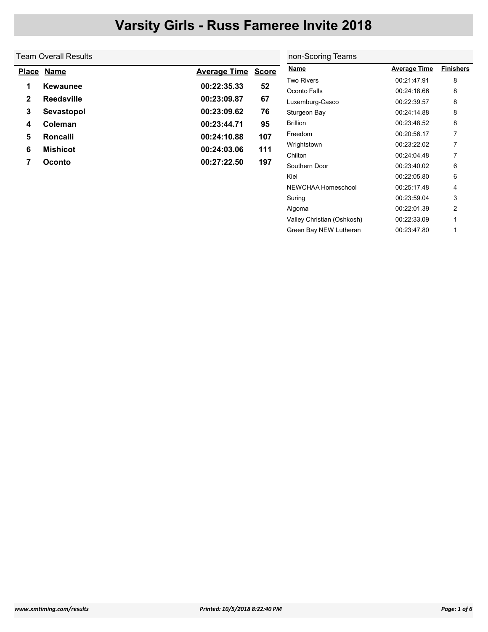### Team Overall Results

|              | Place Name        | <b>Average Time Score</b> |     |
|--------------|-------------------|---------------------------|-----|
| 1            | Kewaunee          | 00:22:35.33               | 52  |
| $\mathbf{2}$ | <b>Reedsville</b> | 00:23:09.87               | 67  |
| 3            | Sevastopol        | 00:23:09.62               | 76  |
| 4            | Coleman           | 00:23:44.71               | 95  |
| 5            | Roncalli          | 00:24:10.88               | 107 |
| 6            | <b>Mishicot</b>   | 00:24:03.06               | 111 |
| 7            | Oconto            | 00:27:22.50               | 197 |

|   | non-Scoring Teams          |                     |                  |
|---|----------------------------|---------------------|------------------|
| e | <u>Name</u>                | <b>Average Time</b> | <b>Finishers</b> |
|   | <b>Two Rivers</b>          | 00:21:47.91         | 8                |
|   | Oconto Falls               | 00:24:18.66         | 8                |
|   | Luxemburg-Casco            | 00:22:39.57         | 8                |
|   | Sturgeon Bay               | 00:24:14.88         | 8                |
|   | <b>Brillion</b>            | 00:23:48.52         | 8                |
|   | Freedom                    | 00:20:56.17         | 7                |
|   | Wrightstown                | 00:23:22.02         | 7                |
|   | Chilton                    | 00:24:04.48         | 7                |
|   | Southern Door              | 00:23:40.02         | 6                |
|   | Kiel                       | 00:22:05.80         | 6                |
|   | NEWCHAA Homeschool         | 00:25:17.48         | 4                |
|   | Suring                     | 00:23:59.04         | 3                |
|   | Algoma                     | 00:22:01.39         | 2                |
|   | Valley Christian (Oshkosh) | 00:22:33.09         | 1                |
|   | Green Bay NEW Lutheran     | 00:23:47.80         | 1                |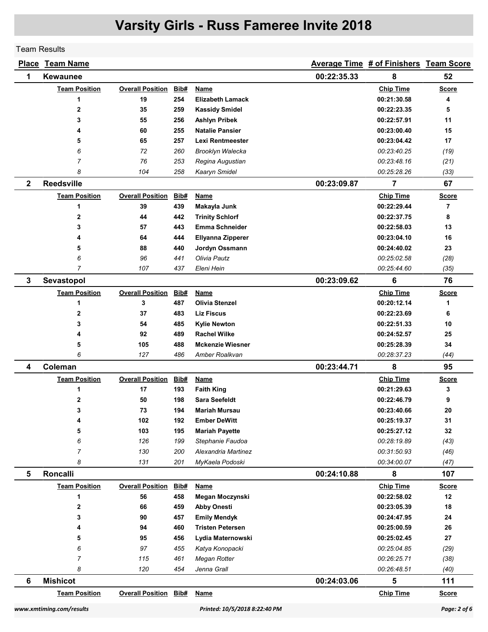Team Results

|              | <b>Place Team Name</b> |                              |            |                                         |             | Average Time # of Finishers Team Score |                |
|--------------|------------------------|------------------------------|------------|-----------------------------------------|-------------|----------------------------------------|----------------|
| 1            | <b>Kewaunee</b>        |                              |            |                                         | 00:22:35.33 | 8                                      | 52             |
|              | <b>Team Position</b>   | <b>Overall Position</b>      | Bib#       | Name                                    |             | <b>Chip Time</b>                       | <b>Score</b>   |
|              | 1                      | 19                           | 254        | <b>Elizabeth Lamack</b>                 |             | 00:21:30.58                            | 4              |
|              | $\mathbf 2$            | 35                           | 259        | <b>Kassidy Smidel</b>                   |             | 00:22:23.35                            | 5              |
|              | 3                      | 55                           | 256        | <b>Ashlyn Pribek</b>                    |             | 00:22:57.91                            | 11             |
|              | 4                      | 60                           | 255        | <b>Natalie Pansier</b>                  |             | 00:23:00.40                            | 15             |
|              | 5                      | 65                           | 257        | Lexi Rentmeester                        |             | 00:23:04.42                            | 17             |
|              | 6                      | 72                           | 260        | <b>Brooklyn Walecka</b>                 |             | 00:23:40.25                            | (19)           |
|              | $\overline{7}$         | 76                           | 253        | Regina Augustian                        |             | 00:23:48.16                            | (21)           |
|              | 8                      | 104                          | 258        | Kaaryn Smidel                           |             | 00:25:28.26                            | (33)           |
| $\mathbf{2}$ | <b>Reedsville</b>      |                              |            |                                         | 00:23:09.87 | 7                                      | 67             |
|              | <b>Team Position</b>   | <b>Overall Position</b>      | Bib#       | <b>Name</b>                             |             | <b>Chip Time</b>                       | <b>Score</b>   |
|              | 1                      | 39                           | 439        | Makayla Junk                            |             | 00:22:29.44                            | $\overline{7}$ |
|              | $\mathbf{2}$           | 44                           | 442        | <b>Trinity Schlorf</b>                  |             | 00:22:37.75                            | 8              |
|              | 3                      | 57                           | 443        | <b>Emma Schneider</b>                   |             | 00:22:58.03                            | 13             |
|              | 4                      | 64                           | 444        | Ellyanna Zipperer                       |             | 00:23:04.10                            | 16             |
|              | 5                      | 88                           | 440        | Jordyn Ossmann                          |             | 00:24:40.02                            | 23             |
|              | 6                      | 96                           | 441        | Olivia Pautz                            |             | 00:25:02.58                            | (28)           |
|              | $\overline{7}$         | 107                          | 437        | Eleni Hein                              |             | 00:25:44.60                            | (35)           |
| $\mathbf{3}$ | Sevastopol             |                              |            |                                         | 00:23:09.62 | 6                                      | 76             |
|              | <b>Team Position</b>   | <b>Overall Position</b>      | Bib#       | <b>Name</b>                             |             | <b>Chip Time</b>                       | <b>Score</b>   |
|              | 1                      | 3                            | 487        | <b>Olivia Stenzel</b>                   |             | 00:20:12.14                            | 1              |
|              | $\mathbf 2$            | 37                           | 483        | <b>Liz Fiscus</b>                       |             | 00:22:23.69                            | 6              |
|              | 3                      | 54                           | 485        | <b>Kylie Newton</b>                     |             | 00:22:51.33                            | 10             |
|              | 4                      | 92                           | 489        | <b>Rachel Wilke</b>                     |             | 00:24:52.57                            | 25             |
|              | 5                      | 105                          | 488        | <b>Mckenzie Wiesner</b>                 |             | 00:25:28.39                            | 34             |
|              | 6                      | 127                          | 486        | Amber Roalkvan                          |             | 00:28:37.23                            | (44)           |
| 4            | Coleman                |                              |            |                                         | 00:23:44.71 | 8                                      | 95             |
|              | <b>Team Position</b>   | <b>Overall Position</b>      | Bib#       | <b>Name</b>                             |             | <b>Chip Time</b>                       | <b>Score</b>   |
|              | 1                      | 17                           | 193        | <b>Faith King</b>                       |             | 00:21:29.63                            | 3              |
|              | 2                      | 50                           | 198        | <b>Sara Seefeldt</b>                    |             | 00:22:46.79                            | 9              |
|              | 3                      | 73                           | 194        | Mariah Mursau                           |             | 00:23:40.66                            | 20             |
|              | 4                      | 102                          | 192        | <b>Ember DeWitt</b>                     |             | 00:25:19.37<br>00:25:27.12             | 31             |
|              | 5                      | 103                          | 195        | <b>Mariah Payette</b>                   |             |                                        | 32             |
|              | 6<br>7                 | 126<br>130                   | 199<br>200 | Stephanie Faudoa<br>Alexandria Martinez |             | 00:28:19.89<br>00:31:50.93             | (43)           |
|              | 8                      | 131                          | 201        | MyKaela Podoski                         |             | 00:34:00.07                            | (46)<br>(47)   |
| 5            | Roncalli               |                              |            |                                         | 00:24:10.88 | 8                                      | 107            |
|              | <b>Team Position</b>   | <b>Overall Position</b>      | Bib#       | <b>Name</b>                             |             | <b>Chip Time</b>                       | <b>Score</b>   |
|              | 1                      | 56                           | 458        | Megan Moczynski                         |             | 00:22:58.02                            | 12             |
|              | $\mathbf 2$            | 66                           | 459        | <b>Abby Onesti</b>                      |             | 00:23:05.39                            | 18             |
|              | 3                      | 90                           | 457        | <b>Emily Mendyk</b>                     |             | 00:24:47.95                            | 24             |
|              | 4                      | 94                           | 460        | <b>Tristen Petersen</b>                 |             | 00:25:00.59                            | 26             |
|              | 5                      | 95                           | 456        | Lydia Maternowski                       |             | 00:25:02.45                            | 27             |
|              | 6                      | 97                           | 455        | Katya Konopacki                         |             | 00:25:04.85                            | (29)           |
|              | $\overline{7}$         | 115                          | 461        | Megan Rotter                            |             | 00:26:25.71                            | (38)           |
|              | 8                      | 120                          | 454        | Jenna Grall                             |             | 00:26:48.51                            | (40)           |
| 6            | <b>Mishicot</b>        |                              |            |                                         | 00:24:03.06 | $5\phantom{a}$                         | 111            |
|              | <b>Team Position</b>   | <b>Overall Position Bib#</b> |            | <b>Name</b>                             |             | <b>Chip Time</b>                       | <b>Score</b>   |
|              |                        |                              |            |                                         |             |                                        |                |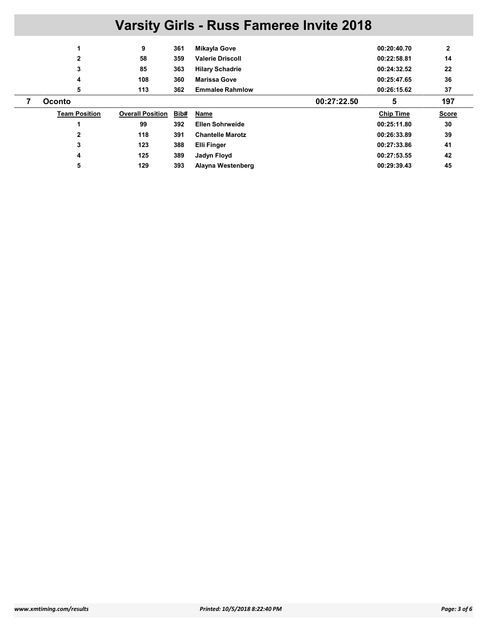|                      | 9                       | 361  | Mikayla Gove            | 00:20:40.70      | $\mathbf{2}$ |
|----------------------|-------------------------|------|-------------------------|------------------|--------------|
| 2                    | 58                      | 359  | <b>Valerie Driscoll</b> | 00:22:58.81      | 14           |
| 3                    | 85                      | 363  | <b>Hilary Schadrie</b>  | 00:24:32.52      | 22           |
| 4                    | 108                     | 360  | <b>Marissa Gove</b>     | 00:25:47.65      | 36           |
| 5                    | 113                     | 362  | <b>Emmalee Rahmlow</b>  | 00:26:15.62      | 37           |
| <b>Oconto</b>        |                         |      | 00:27:22.50             | 5                | 197          |
|                      |                         |      |                         |                  |              |
| <b>Team Position</b> | <b>Overall Position</b> | Bib# | Name                    | <b>Chip Time</b> | <b>Score</b> |
|                      | 99                      | 392  | <b>Ellen Sohrweide</b>  | 00:25:11.80      | 30           |
| 2                    | 118                     | 391  | <b>Chantelle Marotz</b> | 00:26:33.89      | 39           |
| 3                    | 123                     | 388  | <b>Elli Finger</b>      | 00:27:33.86      | 41           |
| 4                    | 125                     | 389  | Jadyn Floyd             | 00:27:53.55      | 42           |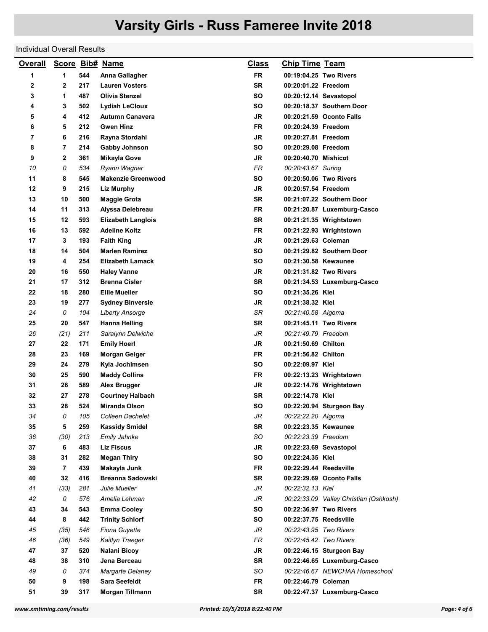### Individual Overall Results

| <b>Overall</b> |                |     | <b>Score Bib# Name</b>    | <u>Class</u> | <b>Chip Time Team</b>  |                                        |
|----------------|----------------|-----|---------------------------|--------------|------------------------|----------------------------------------|
| 1              | 1              | 544 | Anna Gallagher            | <b>FR</b>    |                        | 00:19:04.25 Two Rivers                 |
| 2              | 2              | 217 | <b>Lauren Vosters</b>     | <b>SR</b>    | 00:20:01.22 Freedom    |                                        |
| 3              | 1              | 487 | <b>Olivia Stenzel</b>     | SΟ           |                        | 00:20:12.14 Sevastopol                 |
| 4              | 3              | 502 | <b>Lydiah LeCloux</b>     | SΟ           |                        | 00:20:18.37 Southern Door              |
| 5              | 4              | 412 | <b>Autumn Canavera</b>    | JR           |                        | 00:20:21.59 Oconto Falls               |
| 6              | 5              | 212 | <b>Gwen Hinz</b>          | FR           | 00:20:24.39 Freedom    |                                        |
| 7              | 6              | 216 | Rayna Stordahl            | <b>JR</b>    | 00:20:27.81 Freedom    |                                        |
| 8              | $\overline{7}$ | 214 | <b>Gabby Johnson</b>      | SΟ           | 00:20:29.08 Freedom    |                                        |
| 9              | 2              | 361 | <b>Mikayla Gove</b>       | JR           | 00:20:40.70 Mishicot   |                                        |
| 10             | 0              | 534 | Ryann Wagner              | <b>FR</b>    | 00:20:43.67 Suring     |                                        |
| 11             | 8              | 545 | <b>Makenzie Greenwood</b> | SΟ           |                        | 00:20:50.06 Two Rivers                 |
| 12             | 9              | 215 | <b>Liz Murphy</b>         | <b>JR</b>    | 00:20:57.54 Freedom    |                                        |
| 13             | 10             | 500 | <b>Maggie Grota</b>       | <b>SR</b>    |                        | 00:21:07.22 Southern Door              |
| 14             | 11             | 313 | Alyssa Delebreau          | <b>FR</b>    |                        | 00:21:20.87 Luxemburg-Casco            |
| 15             | 12             | 593 | <b>Elizabeth Langlois</b> | SR           |                        | 00:21:21.35 Wrightstown                |
| 16             | 13             | 592 | <b>Adeline Koltz</b>      | FR           |                        | 00:21:22.93 Wrightstown                |
| 17             | 3              | 193 | <b>Faith King</b>         | <b>JR</b>    | 00:21:29.63 Coleman    |                                        |
| 18             | 14             | 504 | <b>Marlen Ramirez</b>     | SΟ           |                        | 00:21:29.82 Southern Door              |
| 19             | 4              | 254 | <b>Elizabeth Lamack</b>   | SΟ           | 00:21:30.58 Kewaunee   |                                        |
| 20             | 16             | 550 | <b>Haley Vanne</b>        | <b>JR</b>    |                        | 00:21:31.82 Two Rivers                 |
| 21             | 17             | 312 | <b>Brenna Cisler</b>      | <b>SR</b>    |                        | 00:21:34.53 Luxemburg-Casco            |
| 22             | 18             | 280 | <b>Ellie Mueller</b>      | SΟ           | 00:21:35.26 Kiel       |                                        |
| 23             | 19             | 277 | <b>Sydney Binversie</b>   | <b>JR</b>    | 00:21:38.32 Kiel       |                                        |
| 24             | 0              | 104 | <b>Liberty Ansorge</b>    | SR           | 00:21:40.58 Algoma     |                                        |
| 25             | 20             | 547 | Hanna Helling             | SR           |                        | 00:21:45.11 Two Rivers                 |
| 26             | (21)           | 211 | Saralynn Delwiche         | JR           | 00:21:49.79 Freedom    |                                        |
| 27             | 22             | 171 | <b>Emily Hoerl</b>        | JR           | 00:21:50.69 Chilton    |                                        |
| 28             | 23             | 169 | <b>Morgan Geiger</b>      | FR           | 00:21:56.82 Chilton    |                                        |
| 29             | 24             | 279 | Kyla Jochimsen            | SΟ           | 00:22:09.97 Kiel       |                                        |
| 30             | 25             | 590 | <b>Maddy Collins</b>      | FR           |                        | 00:22:13.23 Wrightstown                |
| 31             | 26             | 589 | Alex Brugger              | <b>JR</b>    |                        | 00:22:14.76 Wrightstown                |
| 32             | 27             | 278 | <b>Courtney Halbach</b>   | <b>SR</b>    | 00:22:14.78 Kiel       |                                        |
| 33             | 28             | 524 | Miranda Olson             | SΟ           |                        | 00:22:20.94 Sturgeon Bay               |
| 34             | 0              | 105 | Colleen Dachelet          | JR           | 00:22:22.20 Algoma     |                                        |
| 35             | 5              | 259 | <b>Kassidy Smidel</b>     | <b>SR</b>    | 00:22:23.35 Kewaunee   |                                        |
| 36             | (30)           | 213 | Emily Jahnke              | SO           | 00:22:23.39 Freedom    |                                        |
| 37             | 6              | 483 | <b>Liz Fiscus</b>         | JR           |                        | 00:22:23.69 Sevastopol                 |
| 38             | 31             | 282 | <b>Megan Thiry</b>        | SO           | 00:22:24.35 Kiel       |                                        |
| 39             | $\overline{7}$ | 439 | Makayla Junk              | <b>FR</b>    | 00:22:29.44 Reedsville |                                        |
| 40             | 32             | 416 | <b>Breanna Sadowski</b>   | SR           |                        | 00:22:29.69 Oconto Falls               |
| 41             | (33)           | 281 | Julie Mueller             | JR           | 00:22:32.13 Kiel       |                                        |
| 42             | 0              | 576 | Amelia Lehman             | JR           |                        | 00:22:33.09 Valley Christian (Oshkosh) |
| 43             | 34             | 543 | <b>Emma Cooley</b>        | SO           |                        | 00:22:36.97 Two Rivers                 |
| 44             | 8              | 442 | <b>Trinity Schlorf</b>    | SO           | 00:22:37.75 Reedsville |                                        |
| 45             | (35)           | 546 | Fiona Guyette             | JR           | 00:22:43.95 Two Rivers |                                        |
| 46             | (36)           | 549 | Kaitlyn Traeger           | FR           | 00:22:45.42 Two Rivers |                                        |
| 47             | 37             | 520 | Nalani Bicoy              | JR           |                        | 00:22:46.15 Sturgeon Bay               |
| 48             | 38             | 310 | Jena Berceau              | <b>SR</b>    |                        | 00:22:46.65 Luxemburg-Casco            |
| 49             | 0              | 374 | Margarte Delaney          | SO           |                        | 00:22:46.67 NEWCHAA Homeschool         |
| 50             | 9              | 198 | <b>Sara Seefeldt</b>      | <b>FR</b>    | 00:22:46.79 Coleman    |                                        |
| 51             | 39             | 317 | Morgan Tillmann           | SR           |                        | 00:22:47.37 Luxemburg-Casco            |
|                |                |     |                           |              |                        |                                        |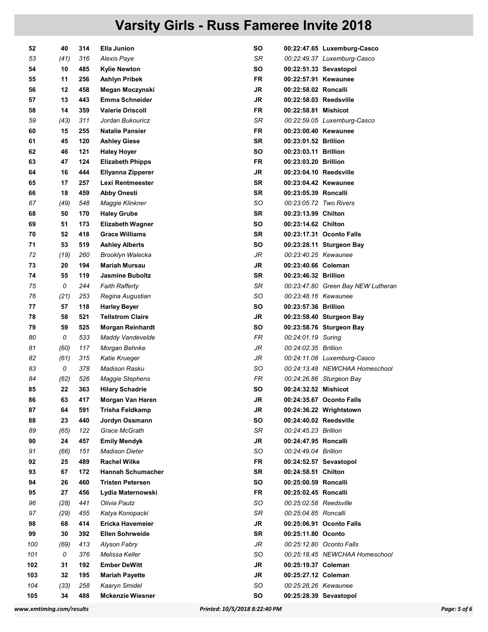| 52  | 40   | 314 | Ella Junion              | SO        |                        | 00:22:47.65 Luxemburg-Casco        |
|-----|------|-----|--------------------------|-----------|------------------------|------------------------------------|
| 53  | (41) | 316 | Alexis Paye              | SR        |                        | 00:22:49.37 Luxemburg-Casco        |
| 54  | 10   | 485 | Kylie Newton             | SΟ        |                        | 00:22:51.33 Sevastopol             |
| 55  | 11   | 256 | Ashlyn Pribek            | FR        | 00:22:57.91 Kewaunee   |                                    |
| 56  | 12   | 458 | Megan Moczynski          | JR        | 00:22:58.02 Roncalli   |                                    |
| 57  | 13   | 443 | <b>Emma Schneider</b>    | JR        | 00:22:58.03 Reedsville |                                    |
| 58  | 14   | 359 | <b>Valerie Driscoll</b>  | <b>FR</b> | 00:22:58.81 Mishicot   |                                    |
| 59  | (43) | 311 | Jordan Bukouricz         | SR        |                        | 00:22:59.05 Luxemburg-Casco        |
| 60  | 15   | 255 | <b>Natalie Pansier</b>   | FR        | 00:23:00.40 Kewaunee   |                                    |
| 61  | 45   | 120 | <b>Ashley Giese</b>      | <b>SR</b> | 00:23:01.52 Brillion   |                                    |
| 62  | 46   | 121 | <b>Haley Hoyer</b>       | SΟ        | 00:23:03.11 Brillion   |                                    |
| 63  | 47   | 124 | <b>Elizabeth Phipps</b>  | FR        | 00:23:03.20 Brillion   |                                    |
| 64  | 16   | 444 | Ellyanna Zipperer        | <b>JR</b> | 00:23:04.10 Reedsville |                                    |
| 65  | 17   | 257 | Lexi Rentmeester         | <b>SR</b> | 00:23:04.42 Kewaunee   |                                    |
|     |      |     |                          |           |                        |                                    |
| 66  | 18   | 459 | <b>Abby Onesti</b>       | SR        | 00:23:05.39 Roncalli   |                                    |
| 67  | (49) | 548 | Maggie Klinkner          | SO        | 00:23:05.72 Two Rivers |                                    |
| 68  | 50   | 170 | <b>Haley Grube</b>       | SR        | 00:23:13.99 Chilton    |                                    |
| 69  | 51   | 173 | <b>Elizabeth Wagner</b>  | SΟ        | 00:23:14.62 Chilton    |                                    |
| 70  | 52   | 418 | <b>Grace Williams</b>    | <b>SR</b> |                        | 00:23:17.31 Oconto Falls           |
| 71  | 53   | 519 | <b>Ashley Alberts</b>    | SΟ        |                        | 00:23:28.11 Sturgeon Bay           |
| 72  | (19) | 260 | Brooklyn Walecka         | JR        | 00:23:40.25 Kewaunee   |                                    |
| 73  | 20   | 194 | <b>Mariah Mursau</b>     | JR        | 00:23:40.66 Coleman    |                                    |
| 74  | 55   | 119 | <b>Jasmine Buboltz</b>   | <b>SR</b> | 00:23:46.32 Brillion   |                                    |
| 75  | 0    | 244 | <b>Faith Rafferty</b>    | SR        |                        | 00:23:47.80 Green Bay NEW Lutheran |
| 76  | (21) | 253 | Regina Augustian         | SO        | 00:23:48.16 Kewaunee   |                                    |
| 77  | 57   | 118 | <b>Harley Beyer</b>      | <b>SO</b> | 00:23:57.36 Brillion   |                                    |
| 78  | 58   | 521 | <b>Tellstrom Claire</b>  | JR        |                        | 00:23:58.40 Sturgeon Bay           |
| 79  | 59   | 525 | <b>Morgan Reinhardt</b>  | SΟ        |                        | 00:23:58.76 Sturgeon Bay           |
| 80  | 0    | 533 | Maddy Vandevelde         | FR        | 00:24:01.19 Suring     |                                    |
| 81  | (60) | 117 | Morgan Behnke            | JR        | 00:24:02.35 Brillion   |                                    |
| 82  | (61) | 315 | Katie Krueger            | JR        |                        | 00:24:11.08 Luxemburg-Casco        |
| 83  | 0    | 378 | Madison Rasku            | SO        |                        | 00:24:13.48 NEWCHAA Homeschool     |
| 84  | (62) | 526 | <b>Maggie Stephens</b>   | FR        |                        | 00:24:26.86 Sturgeon Bay           |
| 85  | 22   | 363 | <b>Hilary Schadrie</b>   | SO        | 00:24:32.52 Mishicot   |                                    |
| 86  | 63   | 417 | Morgan Van Haren         | JR        |                        | 00:24:35.67 Oconto Falls           |
| 87  | 64   | 591 | Trisha Feldkamp          | JR        |                        | 00:24:36.22 Wrightstown            |
| 88  | 23   | 440 | Jordyn Ossmann           | SO        | 00:24:40.02 Reedsville |                                    |
| 89  | (65) | 122 | Grace McGrath            | SR        | 00:24:45.23 Brillion   |                                    |
| 90  | 24   | 457 | <b>Emily Mendyk</b>      | JR        | 00:24:47.95 Roncalli   |                                    |
| 91  | (66) | 151 | <b>Madison Dieter</b>    | SO        | 00:24:49.04 Brillion   |                                    |
| 92  | 25   | 489 | <b>Rachel Wilke</b>      | FR        |                        | 00:24:52.57 Sevastopol             |
| 93  | 67   | 172 | <b>Hannah Schumacher</b> | <b>SR</b> | 00:24:58.51 Chilton    |                                    |
| 94  | 26   | 460 | <b>Tristen Petersen</b>  | SO        | 00:25:00.59 Roncalli   |                                    |
| 95  | 27   | 456 | Lydia Maternowski        | FR        | 00:25:02.45 Roncalli   |                                    |
| 96  | (28) | 441 | Olivia Pautz             | SO        | 00:25:02.58 Reedsville |                                    |
|     |      |     |                          |           |                        |                                    |
| 97  | (29) | 455 | Katya Konopacki          | SR        | 00:25:04.85 Roncalli   |                                    |
| 98  | 68   | 414 | Ericka Havemeier         | JR        |                        | 00:25:06.91 Oconto Falls           |
| 99  | 30   | 392 | <b>Ellen Sohrweide</b>   | <b>SR</b> | 00:25:11.80 Oconto     |                                    |
| 100 | (69) | 413 | Alyson Fabry             | JR        |                        | 00:25:12.80 Oconto Falls           |
| 101 | 0    | 376 | Melissa Keller           | SO        |                        | 00:25:18.45 NEWCHAA Homeschool     |
| 102 | 31   | 192 | <b>Ember DeWitt</b>      | <b>JR</b> | 00:25:19.37 Coleman    |                                    |
| 103 | 32   | 195 | <b>Mariah Payette</b>    | JR        | 00:25:27.12 Coleman    |                                    |
| 104 | (33) | 258 | Kaaryn Smidel            | SO        | 00:25:28.26 Kewaunee   |                                    |
| 105 | 34   | 488 | <b>Mckenzie Wiesner</b>  | SO        |                        | 00:25:28.39 Sevastopol             |